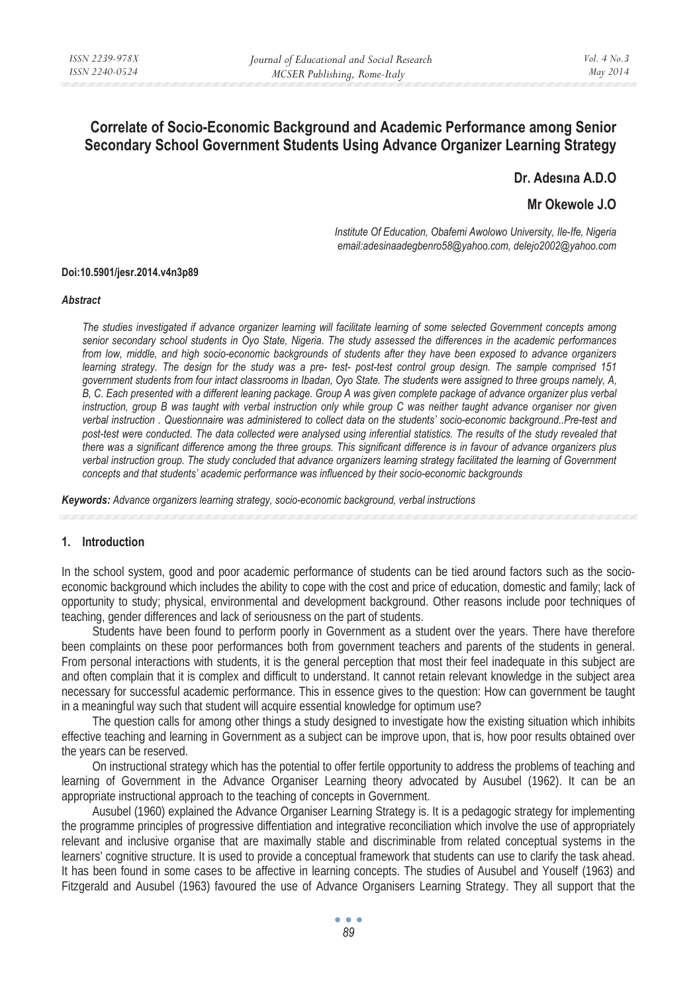# **Correlate of Socio-Economic Background and Academic Performance among Senior Secondary School Government Students Using Advance Organizer Learning Strategy**

Dr. Adesina A.D.O

**Mr Okewole J.O** 

*Institute Of Education, Obafemi Awolowo University, Ile-Ife, Nigeria email:adesinaadegbenro58@yahoo.com, delejo2002@yahoo.com* 

#### **Doi:10.5901/jesr.2014.v4n3p89**

#### *Abstract*

*The studies investigated if advance organizer learning will facilitate learning of some selected Government concepts among senior secondary school students in Oyo State, Nigeria. The study assessed the differences in the academic performances from low, middle, and high socio-economic backgrounds of students after they have been exposed to advance organizers learning strategy. The design for the study was a pre- test- post-test control group design. The sample comprised 151 government students from four intact classrooms in Ibadan, Oyo State. The students were assigned to three groups namely, A, B, C. Each presented with a different leaning package. Group A was given complete package of advance organizer plus verbal instruction, group B was taught with verbal instruction only while group C was neither taught advance organiser nor given verbal instruction . Questionnaire was administered to collect data on the students' socio-economic background..Pre-test and post-test were conducted. The data collected were analysed using inferential statistics. The results of the study revealed that there was a significant difference among the three groups. This significant difference is in favour of advance organizers plus verbal instruction group. The study concluded that advance organizers learning strategy facilitated the learning of Government concepts and that students' academic performance was influenced by their socio-economic backgrounds* 

*Keywords: Advance organizers learning strategy, socio-economic background, verbal instructions* 

#### **1. Introduction**

In the school system, good and poor academic performance of students can be tied around factors such as the socioeconomic background which includes the ability to cope with the cost and price of education, domestic and family; lack of opportunity to study; physical, environmental and development background. Other reasons include poor techniques of teaching, gender differences and lack of seriousness on the part of students.

Students have been found to perform poorly in Government as a student over the years. There have therefore been complaints on these poor performances both from government teachers and parents of the students in general. From personal interactions with students, it is the general perception that most their feel inadequate in this subject are and often complain that it is complex and difficult to understand. It cannot retain relevant knowledge in the subject area necessary for successful academic performance. This in essence gives to the question: How can government be taught in a meaningful way such that student will acquire essential knowledge for optimum use?

The question calls for among other things a study designed to investigate how the existing situation which inhibits effective teaching and learning in Government as a subject can be improve upon, that is, how poor results obtained over the years can be reserved.

On instructional strategy which has the potential to offer fertile opportunity to address the problems of teaching and learning of Government in the Advance Organiser Learning theory advocated by Ausubel (1962). It can be an appropriate instructional approach to the teaching of concepts in Government.

Ausubel (1960) explained the Advance Organiser Learning Strategy is. It is a pedagogic strategy for implementing the programme principles of progressive diffentiation and integrative reconciliation which involve the use of appropriately relevant and inclusive organise that are maximally stable and discriminable from related conceptual systems in the learners' cognitive structure. It is used to provide a conceptual framework that students can use to clarify the task ahead. It has been found in some cases to be affective in learning concepts. The studies of Ausubel and Youself (1963) and Fitzgerald and Ausubel (1963) favoured the use of Advance Organisers Learning Strategy. They all support that the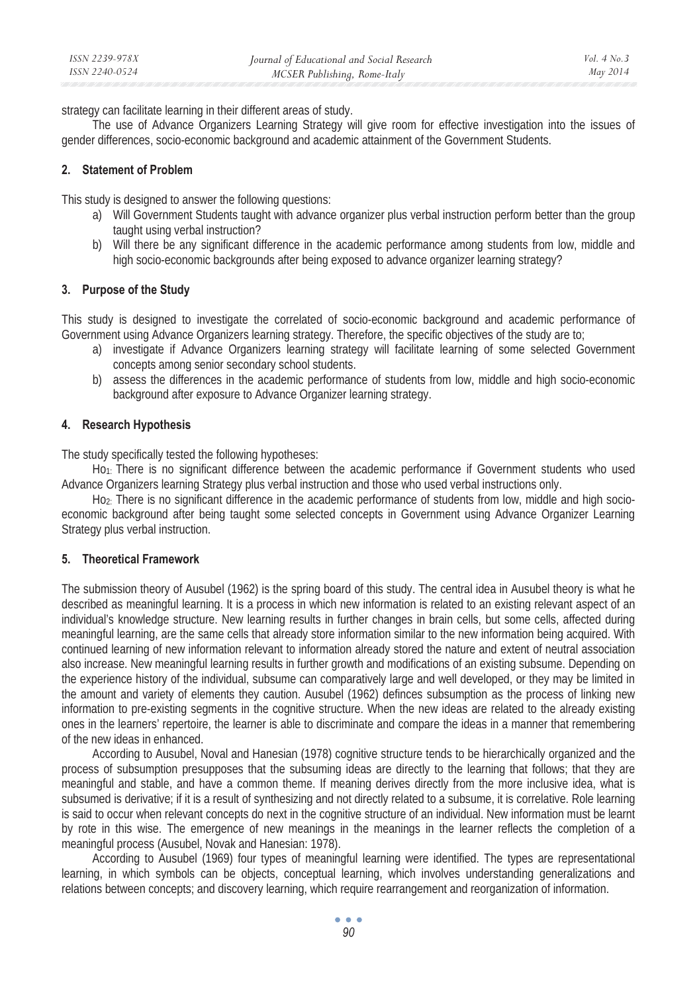strategy can facilitate learning in their different areas of study.

The use of Advance Organizers Learning Strategy will give room for effective investigation into the issues of gender differences, socio-economic background and academic attainment of the Government Students.

## **2. Statement of Problem**

This study is designed to answer the following questions:

- a) Will Government Students taught with advance organizer plus verbal instruction perform better than the group taught using verbal instruction?
- b) Will there be any significant difference in the academic performance among students from low, middle and high socio-economic backgrounds after being exposed to advance organizer learning strategy?

## **3. Purpose of the Study**

This study is designed to investigate the correlated of socio-economic background and academic performance of Government using Advance Organizers learning strategy. Therefore, the specific objectives of the study are to;

- a) investigate if Advance Organizers learning strategy will facilitate learning of some selected Government concepts among senior secondary school students.
- b) assess the differences in the academic performance of students from low, middle and high socio-economic background after exposure to Advance Organizer learning strategy.

## **4. Research Hypothesis**

The study specifically tested the following hypotheses:

Ho1: There is no significant difference between the academic performance if Government students who used Advance Organizers learning Strategy plus verbal instruction and those who used verbal instructions only.

Ho2: There is no significant difference in the academic performance of students from low, middle and high socioeconomic background after being taught some selected concepts in Government using Advance Organizer Learning Strategy plus verbal instruction.

## **5. Theoretical Framework**

The submission theory of Ausubel (1962) is the spring board of this study. The central idea in Ausubel theory is what he described as meaningful learning. It is a process in which new information is related to an existing relevant aspect of an individual's knowledge structure. New learning results in further changes in brain cells, but some cells, affected during meaningful learning, are the same cells that already store information similar to the new information being acquired. With continued learning of new information relevant to information already stored the nature and extent of neutral association also increase. New meaningful learning results in further growth and modifications of an existing subsume. Depending on the experience history of the individual, subsume can comparatively large and well developed, or they may be limited in the amount and variety of elements they caution. Ausubel (1962) definces subsumption as the process of linking new information to pre-existing segments in the cognitive structure. When the new ideas are related to the already existing ones in the learners' repertoire, the learner is able to discriminate and compare the ideas in a manner that remembering of the new ideas in enhanced.

According to Ausubel, Noval and Hanesian (1978) cognitive structure tends to be hierarchically organized and the process of subsumption presupposes that the subsuming ideas are directly to the learning that follows; that they are meaningful and stable, and have a common theme. If meaning derives directly from the more inclusive idea, what is subsumed is derivative; if it is a result of synthesizing and not directly related to a subsume, it is correlative. Role learning is said to occur when relevant concepts do next in the cognitive structure of an individual. New information must be learnt by rote in this wise. The emergence of new meanings in the meanings in the learner reflects the completion of a meaningful process (Ausubel, Novak and Hanesian: 1978).

According to Ausubel (1969) four types of meaningful learning were identified. The types are representational learning, in which symbols can be objects, conceptual learning, which involves understanding generalizations and relations between concepts; and discovery learning, which require rearrangement and reorganization of information.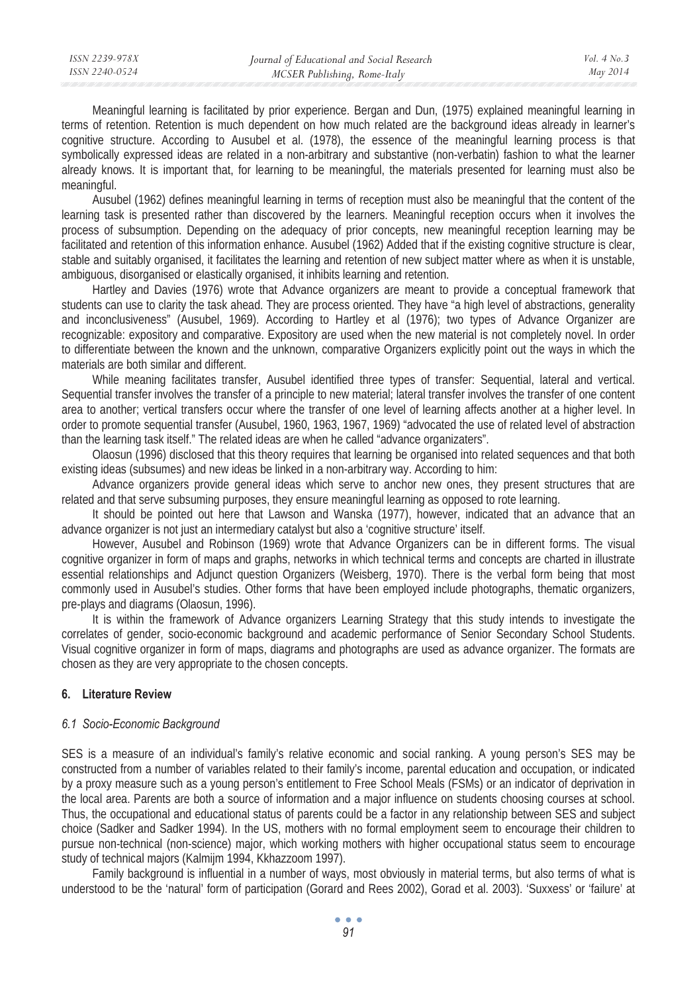Meaningful learning is facilitated by prior experience. Bergan and Dun, (1975) explained meaningful learning in terms of retention. Retention is much dependent on how much related are the background ideas already in learner's cognitive structure. According to Ausubel et al. (1978), the essence of the meaningful learning process is that symbolically expressed ideas are related in a non-arbitrary and substantive (non-verbatin) fashion to what the learner already knows. It is important that, for learning to be meaningful, the materials presented for learning must also be meaningful.

Ausubel (1962) defines meaningful learning in terms of reception must also be meaningful that the content of the learning task is presented rather than discovered by the learners. Meaningful reception occurs when it involves the process of subsumption. Depending on the adequacy of prior concepts, new meaningful reception learning may be facilitated and retention of this information enhance. Ausubel (1962) Added that if the existing cognitive structure is clear, stable and suitably organised, it facilitates the learning and retention of new subject matter where as when it is unstable, ambiguous, disorganised or elastically organised, it inhibits learning and retention.

Hartley and Davies (1976) wrote that Advance organizers are meant to provide a conceptual framework that students can use to clarity the task ahead. They are process oriented. They have "a high level of abstractions, generality and inconclusiveness" (Ausubel, 1969). According to Hartley et al (1976); two types of Advance Organizer are recognizable: expository and comparative. Expository are used when the new material is not completely novel. In order to differentiate between the known and the unknown, comparative Organizers explicitly point out the ways in which the materials are both similar and different.

While meaning facilitates transfer, Ausubel identified three types of transfer: Sequential, lateral and vertical. Sequential transfer involves the transfer of a principle to new material; lateral transfer involves the transfer of one content area to another; vertical transfers occur where the transfer of one level of learning affects another at a higher level. In order to promote sequential transfer (Ausubel, 1960, 1963, 1967, 1969) "advocated the use of related level of abstraction than the learning task itself." The related ideas are when he called "advance organizaters".

Olaosun (1996) disclosed that this theory requires that learning be organised into related sequences and that both existing ideas (subsumes) and new ideas be linked in a non-arbitrary way. According to him:

Advance organizers provide general ideas which serve to anchor new ones, they present structures that are related and that serve subsuming purposes, they ensure meaningful learning as opposed to rote learning.

It should be pointed out here that Lawson and Wanska (1977), however, indicated that an advance that an advance organizer is not just an intermediary catalyst but also a 'cognitive structure' itself.

However, Ausubel and Robinson (1969) wrote that Advance Organizers can be in different forms. The visual cognitive organizer in form of maps and graphs, networks in which technical terms and concepts are charted in illustrate essential relationships and Adjunct question Organizers (Weisberg, 1970). There is the verbal form being that most commonly used in Ausubel's studies. Other forms that have been employed include photographs, thematic organizers, pre-plays and diagrams (Olaosun, 1996).

It is within the framework of Advance organizers Learning Strategy that this study intends to investigate the correlates of gender, socio-economic background and academic performance of Senior Secondary School Students. Visual cognitive organizer in form of maps, diagrams and photographs are used as advance organizer. The formats are chosen as they are very appropriate to the chosen concepts.

## **6. Literature Review**

## *6.1 Socio-Economic Background*

SES is a measure of an individual's family's relative economic and social ranking. A young person's SES may be constructed from a number of variables related to their family's income, parental education and occupation, or indicated by a proxy measure such as a young person's entitlement to Free School Meals (FSMs) or an indicator of deprivation in the local area. Parents are both a source of information and a major influence on students choosing courses at school. Thus, the occupational and educational status of parents could be a factor in any relationship between SES and subject choice (Sadker and Sadker 1994). In the US, mothers with no formal employment seem to encourage their children to pursue non-technical (non-science) major, which working mothers with higher occupational status seem to encourage study of technical majors (Kalmijm 1994, Kkhazzoom 1997).

Family background is influential in a number of ways, most obviously in material terms, but also terms of what is understood to be the 'natural' form of participation (Gorard and Rees 2002), Gorad et al. 2003). 'Suxxess' or 'failure' at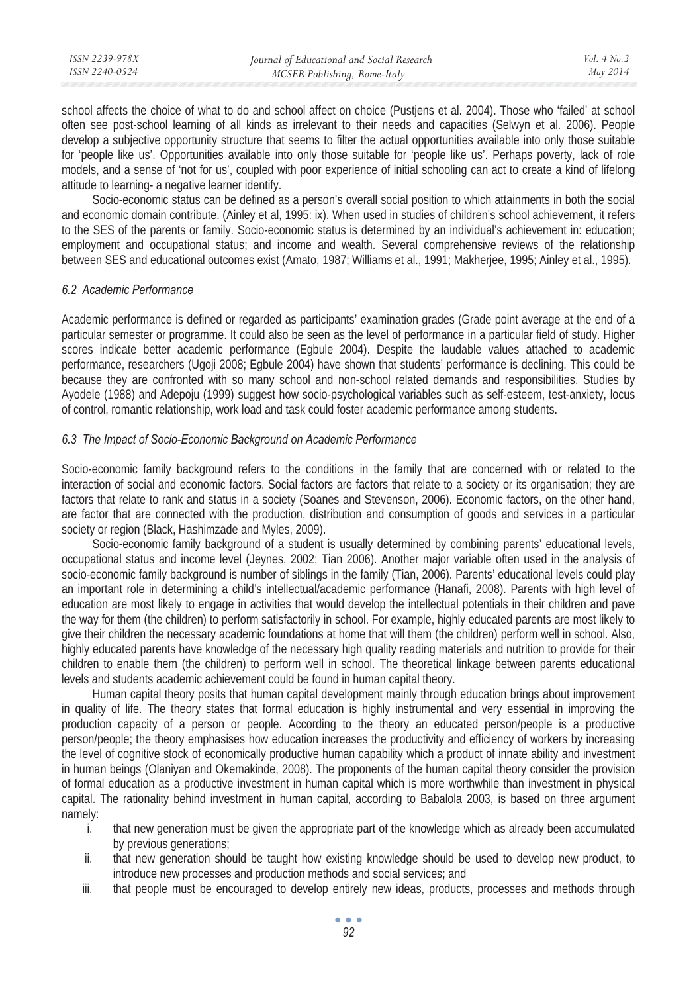| ISSN 2239-978X | Journal of Educational and Social Research | Vol. $4$ No. $3$ |
|----------------|--------------------------------------------|------------------|
| ISSN 2240-0524 | MCSER Publishing, Rome-Italy               | May 2014         |
|                |                                            |                  |

school affects the choice of what to do and school affect on choice (Pustjens et al. 2004). Those who 'failed' at school often see post-school learning of all kinds as irrelevant to their needs and capacities (Selwyn et al. 2006). People develop a subjective opportunity structure that seems to filter the actual opportunities available into only those suitable for 'people like us'. Opportunities available into only those suitable for 'people like us'. Perhaps poverty, lack of role models, and a sense of 'not for us', coupled with poor experience of initial schooling can act to create a kind of lifelong attitude to learning- a negative learner identify.

Socio-economic status can be defined as a person's overall social position to which attainments in both the social and economic domain contribute. (Ainley et al, 1995: ix). When used in studies of children's school achievement, it refers to the SES of the parents or family. Socio-economic status is determined by an individual's achievement in: education; employment and occupational status; and income and wealth. Several comprehensive reviews of the relationship between SES and educational outcomes exist (Amato, 1987; Williams et al., 1991; Makherjee, 1995; Ainley et al., 1995).

#### *6.2 Academic Performance*

Academic performance is defined or regarded as participants' examination grades (Grade point average at the end of a particular semester or programme. It could also be seen as the level of performance in a particular field of study. Higher scores indicate better academic performance (Egbule 2004). Despite the laudable values attached to academic performance, researchers (Ugoji 2008; Egbule 2004) have shown that students' performance is declining. This could be because they are confronted with so many school and non-school related demands and responsibilities. Studies by Ayodele (1988) and Adepoju (1999) suggest how socio-psychological variables such as self-esteem, test-anxiety, locus of control, romantic relationship, work load and task could foster academic performance among students.

#### *6.3 The Impact of Socio-Economic Background on Academic Performance*

Socio-economic family background refers to the conditions in the family that are concerned with or related to the interaction of social and economic factors. Social factors are factors that relate to a society or its organisation; they are factors that relate to rank and status in a society (Soanes and Stevenson, 2006). Economic factors, on the other hand, are factor that are connected with the production, distribution and consumption of goods and services in a particular society or region (Black, Hashimzade and Myles, 2009).

Socio-economic family background of a student is usually determined by combining parents' educational levels, occupational status and income level (Jeynes, 2002; Tian 2006). Another major variable often used in the analysis of socio-economic family background is number of siblings in the family (Tian, 2006). Parents' educational levels could play an important role in determining a child's intellectual/academic performance (Hanafi, 2008). Parents with high level of education are most likely to engage in activities that would develop the intellectual potentials in their children and pave the way for them (the children) to perform satisfactorily in school. For example, highly educated parents are most likely to give their children the necessary academic foundations at home that will them (the children) perform well in school. Also, highly educated parents have knowledge of the necessary high quality reading materials and nutrition to provide for their children to enable them (the children) to perform well in school. The theoretical linkage between parents educational levels and students academic achievement could be found in human capital theory.

Human capital theory posits that human capital development mainly through education brings about improvement in quality of life. The theory states that formal education is highly instrumental and very essential in improving the production capacity of a person or people. According to the theory an educated person/people is a productive person/people; the theory emphasises how education increases the productivity and efficiency of workers by increasing the level of cognitive stock of economically productive human capability which a product of innate ability and investment in human beings (Olaniyan and Okemakinde, 2008). The proponents of the human capital theory consider the provision of formal education as a productive investment in human capital which is more worthwhile than investment in physical capital. The rationality behind investment in human capital, according to Babalola 2003, is based on three argument namely:

- i. that new generation must be given the appropriate part of the knowledge which as already been accumulated by previous generations;
- ii. that new generation should be taught how existing knowledge should be used to develop new product, to introduce new processes and production methods and social services; and
- iii. that people must be encouraged to develop entirely new ideas, products, processes and methods through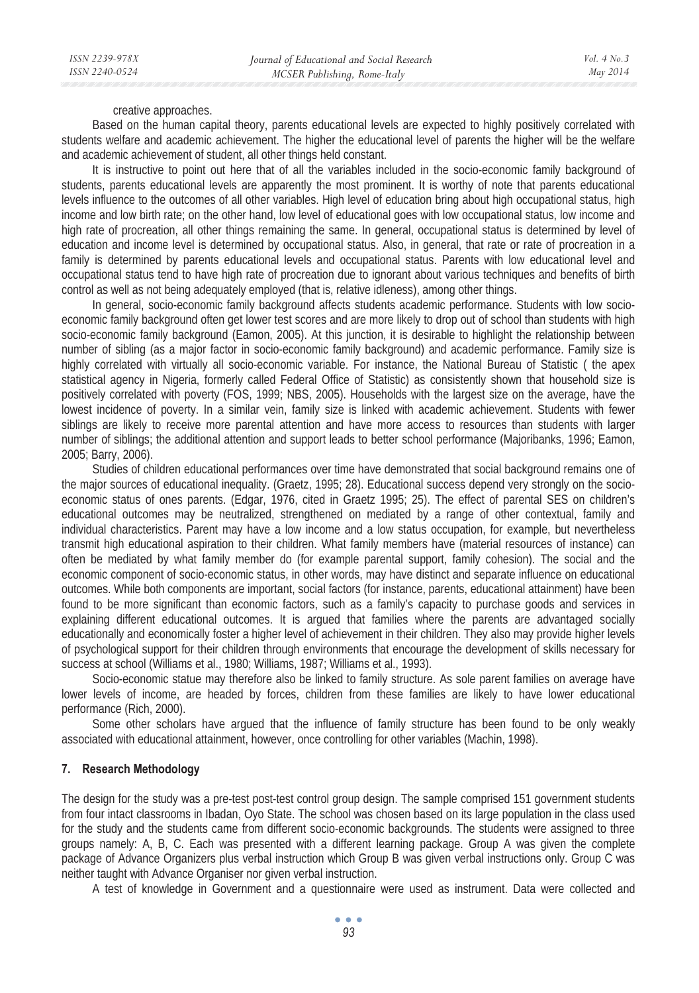creative approaches.

Based on the human capital theory, parents educational levels are expected to highly positively correlated with students welfare and academic achievement. The higher the educational level of parents the higher will be the welfare and academic achievement of student, all other things held constant.

It is instructive to point out here that of all the variables included in the socio-economic family background of students, parents educational levels are apparently the most prominent. It is worthy of note that parents educational levels influence to the outcomes of all other variables. High level of education bring about high occupational status, high income and low birth rate; on the other hand, low level of educational goes with low occupational status, low income and high rate of procreation, all other things remaining the same. In general, occupational status is determined by level of education and income level is determined by occupational status. Also, in general, that rate or rate of procreation in a family is determined by parents educational levels and occupational status. Parents with low educational level and occupational status tend to have high rate of procreation due to ignorant about various techniques and benefits of birth control as well as not being adequately employed (that is, relative idleness), among other things.

In general, socio-economic family background affects students academic performance. Students with low socioeconomic family background often get lower test scores and are more likely to drop out of school than students with high socio-economic family background (Eamon, 2005). At this junction, it is desirable to highlight the relationship between number of sibling (as a major factor in socio-economic family background) and academic performance. Family size is highly correlated with virtually all socio-economic variable. For instance, the National Bureau of Statistic ( the apex statistical agency in Nigeria, formerly called Federal Office of Statistic) as consistently shown that household size is positively correlated with poverty (FOS, 1999; NBS, 2005). Households with the largest size on the average, have the lowest incidence of poverty. In a similar vein, family size is linked with academic achievement. Students with fewer siblings are likely to receive more parental attention and have more access to resources than students with larger number of siblings; the additional attention and support leads to better school performance (Majoribanks, 1996; Eamon, 2005; Barry, 2006).

Studies of children educational performances over time have demonstrated that social background remains one of the major sources of educational inequality. (Graetz, 1995; 28). Educational success depend very strongly on the socioeconomic status of ones parents. (Edgar, 1976, cited in Graetz 1995; 25). The effect of parental SES on children's educational outcomes may be neutralized, strengthened on mediated by a range of other contextual, family and individual characteristics. Parent may have a low income and a low status occupation, for example, but nevertheless transmit high educational aspiration to their children. What family members have (material resources of instance) can often be mediated by what family member do (for example parental support, family cohesion). The social and the economic component of socio-economic status, in other words, may have distinct and separate influence on educational outcomes. While both components are important, social factors (for instance, parents, educational attainment) have been found to be more significant than economic factors, such as a family's capacity to purchase goods and services in explaining different educational outcomes. It is argued that families where the parents are advantaged socially educationally and economically foster a higher level of achievement in their children. They also may provide higher levels of psychological support for their children through environments that encourage the development of skills necessary for success at school (Williams et al., 1980; Williams, 1987; Williams et al., 1993).

Socio-economic statue may therefore also be linked to family structure. As sole parent families on average have lower levels of income, are headed by forces, children from these families are likely to have lower educational performance (Rich, 2000).

Some other scholars have argued that the influence of family structure has been found to be only weakly associated with educational attainment, however, once controlling for other variables (Machin, 1998).

## **7. Research Methodology**

The design for the study was a pre-test post-test control group design. The sample comprised 151 government students from four intact classrooms in Ibadan, Oyo State. The school was chosen based on its large population in the class used for the study and the students came from different socio-economic backgrounds. The students were assigned to three groups namely: A, B, C. Each was presented with a different learning package. Group A was given the complete package of Advance Organizers plus verbal instruction which Group B was given verbal instructions only. Group C was neither taught with Advance Organiser nor given verbal instruction.

A test of knowledge in Government and a questionnaire were used as instrument. Data were collected and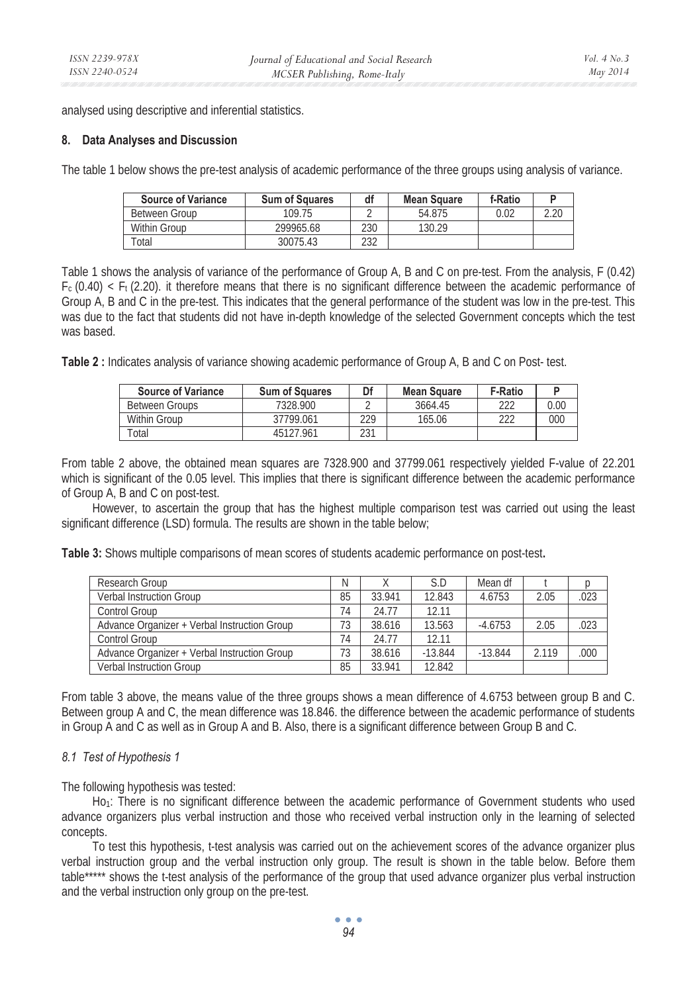analysed using descriptive and inferential statistics.

### **8. Data Analyses and Discussion**

The table 1 below shows the pre-test analysis of academic performance of the three groups using analysis of variance.

| <b>Source of Variance</b> | <b>Sum of Squares</b> | df  | <b>Mean Square</b> | f-Ratio |      |
|---------------------------|-----------------------|-----|--------------------|---------|------|
| Between Group             | 109.75                |     | 54.875             | 0.02    | 2.20 |
| Within Group              | 299965.68             | 230 | 130.29             |         |      |
| 'otal                     | 30075.43              | 232 |                    |         |      |

Table 1 shows the analysis of variance of the performance of Group A, B and C on pre-test. From the analysis, F (0.42)  $F_c$  (0.40)  $\lt F_t$  (2.20). it therefore means that there is no significant difference between the academic performance of Group A, B and C in the pre-test. This indicates that the general performance of the student was low in the pre-test. This was due to the fact that students did not have in-depth knowledge of the selected Government concepts which the test was based.

**Table 2 :** Indicates analysis of variance showing academic performance of Group A, B and C on Post- test.

| <b>Source of Variance</b> | <b>Sum of Squares</b> | Df  | <b>Mean Square</b> | <b>F-Ratio</b> |      |
|---------------------------|-----------------------|-----|--------------------|----------------|------|
| Between Groups            | 7328.900              |     | 3664.45            | าาา            | 0.00 |
| Within Group              | 37799.061             | 229 | 165.06             | าาา            | 000  |
| Total                     | 45127.961             | 231 |                    |                |      |

From table 2 above, the obtained mean squares are 7328.900 and 37799.061 respectively yielded F-value of 22.201 which is significant of the 0.05 level. This implies that there is significant difference between the academic performance of Group A, B and C on post-test.

However, to ascertain the group that has the highest multiple comparison test was carried out using the least significant difference (LSD) formula. The results are shown in the table below;

**Table 3:** Shows multiple comparisons of mean scores of students academic performance on post-test**.** 

| Research Group                               | Ν  |        | S.D       | Mean df   |       |      |
|----------------------------------------------|----|--------|-----------|-----------|-------|------|
| <b>Verbal Instruction Group</b>              | 85 | 33.941 | 12.843    | 4.6753    | 2.05  | .023 |
| Control Group                                | 74 | 24.77  | 12.11     |           |       |      |
| Advance Organizer + Verbal Instruction Group | 73 | 38.616 | 13.563    | $-4.6753$ | 2.05  | .023 |
| Control Group                                | 74 | 24.77  | 12.11     |           |       |      |
| Advance Organizer + Verbal Instruction Group | 73 | 38.616 | $-13.844$ | $-13.844$ | 2.119 | .000 |
| <b>Verbal Instruction Group</b>              | 85 | 33.941 | 12.842    |           |       |      |

From table 3 above, the means value of the three groups shows a mean difference of 4.6753 between group B and C. Between group A and C, the mean difference was 18.846. the difference between the academic performance of students in Group A and C as well as in Group A and B. Also, there is a significant difference between Group B and C.

## *8.1 Test of Hypothesis 1*

The following hypothesis was tested:

Ho<sub>1</sub>: There is no significant difference between the academic performance of Government students who used advance organizers plus verbal instruction and those who received verbal instruction only in the learning of selected concepts.

To test this hypothesis, t-test analysis was carried out on the achievement scores of the advance organizer plus verbal instruction group and the verbal instruction only group. The result is shown in the table below. Before them table\*\*\*\*\* shows the t-test analysis of the performance of the group that used advance organizer plus verbal instruction and the verbal instruction only group on the pre-test.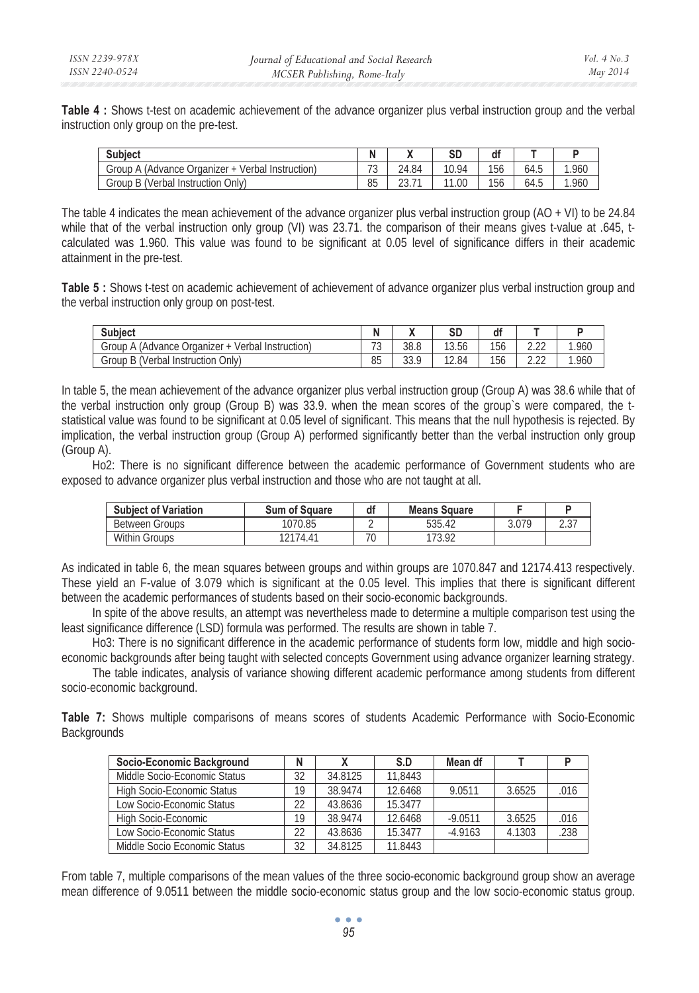**Table 4 :** Shows t-test on academic achievement of the advance organizer plus verbal instruction group and the verbal instruction only group on the pre-test.

| <b>Subiect</b>                                            |                               |                                            | SD        | df  |      |       |
|-----------------------------------------------------------|-------------------------------|--------------------------------------------|-----------|-----|------|-------|
| (Advance Organizer +<br>Group<br>Verbal Instruction)<br>A | $\overline{\phantom{a}}$<br>◡ | 24.84                                      | 10.94     | 156 | 64.5 | 1.960 |
| B (Verbal Instruction Only) د<br>Group                    | 85                            | $\overline{\phantom{a}}$<br>$\sim$<br>2J.I | 11<br>.00 | 156 | 64.5 | 1.960 |

The table 4 indicates the mean achievement of the advance organizer plus verbal instruction group  $(AO + VI)$  to be 24.84 while that of the verbal instruction only group (VI) was 23.71. the comparison of their means gives t-value at .645, tcalculated was 1.960. This value was found to be significant at 0.05 level of significance differs in their academic attainment in the pre-test.

**Table 5 :** Shows t-test on academic achievement of achievement of advance organizer plus verbal instruction group and the verbal instruction only group on post-test.

| <b>Subiect</b>                                                               | N                             |                 | eг<br>ວມ | df  |              |      |
|------------------------------------------------------------------------------|-------------------------------|-----------------|----------|-----|--------------|------|
| Advance Organizer (<br>Group<br>Instruction)<br>Verbal<br>$\overline{A}$<br> | $\overline{\phantom{0}}$<br>◡ | 38.8            | 13.56    | 156 | 0.00<br>LLL  | .960 |
| Only)<br>(Verbal<br>Instruction<br>Group<br>В                                | 85                            | $\cap$<br>JJ. 1 | 12.84    | 156 | 0.00<br>L.LL | .960 |

In table 5, the mean achievement of the advance organizer plus verbal instruction group (Group A) was 38.6 while that of the verbal instruction only group (Group B) was 33.9. when the mean scores of the group`s were compared, the tstatistical value was found to be significant at 0.05 level of significant. This means that the null hypothesis is rejected. By implication, the verbal instruction group (Group A) performed significantly better than the verbal instruction only group (Group A).

Ho2: There is no significant difference between the academic performance of Government students who are exposed to advance organizer plus verbal instruction and those who are not taught at all.

| <b>Subject of Variation</b> | <b>Sum of Square</b>         | df                       | <b>Means Square</b> |       |     |
|-----------------------------|------------------------------|--------------------------|---------------------|-------|-----|
| <b>Between Groups</b>       | 1070.85                      |                          | 535.42              | 3.079 | ، ب |
| <b>Within Groups</b>        | 2174.<br>$\Lambda^{\bullet}$ | $\overline{\phantom{a}}$ | 173 02<br>ے ہیں۔    |       |     |

As indicated in table 6, the mean squares between groups and within groups are 1070.847 and 12174.413 respectively. These yield an F-value of 3.079 which is significant at the 0.05 level. This implies that there is significant different between the academic performances of students based on their socio-economic backgrounds.

In spite of the above results, an attempt was nevertheless made to determine a multiple comparison test using the least significance difference (LSD) formula was performed. The results are shown in table 7.

Ho3: There is no significant difference in the academic performance of students form low, middle and high socioeconomic backgrounds after being taught with selected concepts Government using advance organizer learning strategy.

The table indicates, analysis of variance showing different academic performance among students from different socio-economic background.

**Table 7:** Shows multiple comparisons of means scores of students Academic Performance with Socio-Economic **Backgrounds** 

| Socio-Economic Background    | N  |         | S.D     | Mean df   |        |      |
|------------------------------|----|---------|---------|-----------|--------|------|
| Middle Socio-Economic Status | 32 | 34.8125 | 11.8443 |           |        |      |
| High Socio-Economic Status   | 19 | 38.9474 | 12.6468 | 9.0511    | 3.6525 | .016 |
| Low Socio-Economic Status    | 22 | 43.8636 | 15.3477 |           |        |      |
| High Socio-Economic          | 19 | 38.9474 | 12.6468 | $-9.0511$ | 3.6525 | .016 |
| Low Socio-Economic Status    | 22 | 43.8636 | 15.3477 | $-4.9163$ | 4.1303 | .238 |
| Middle Socio Economic Status | 32 | 34.8125 | 11.8443 |           |        |      |

From table 7, multiple comparisons of the mean values of the three socio-economic background group show an average mean difference of 9.0511 between the middle socio-economic status group and the low socio-economic status group.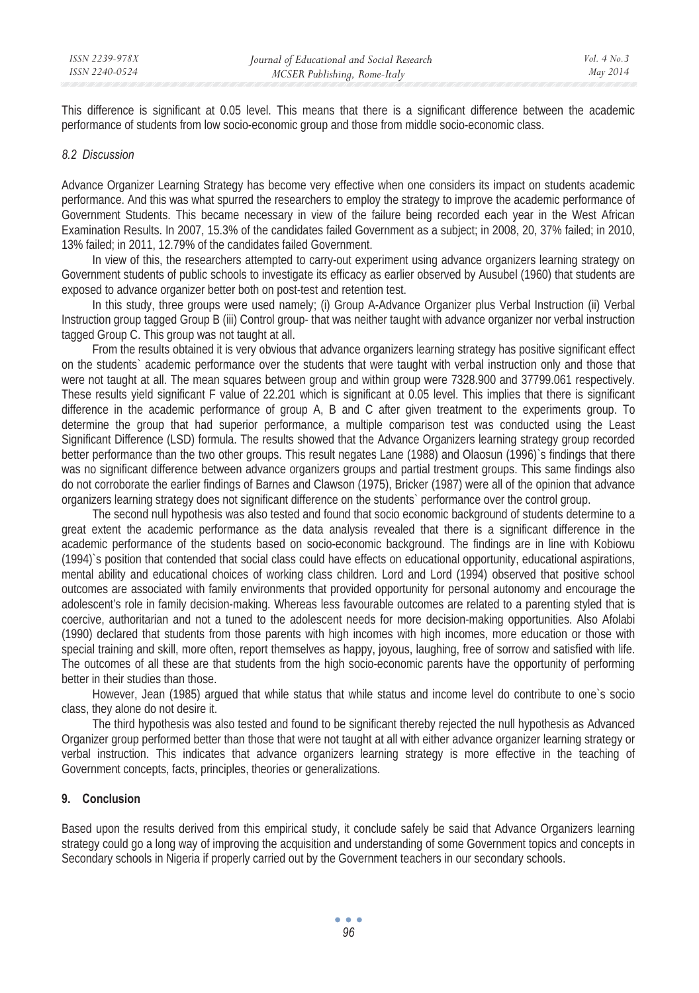This difference is significant at 0.05 level. This means that there is a significant difference between the academic performance of students from low socio-economic group and those from middle socio-economic class.

#### *8.2 Discussion*

Advance Organizer Learning Strategy has become very effective when one considers its impact on students academic performance. And this was what spurred the researchers to employ the strategy to improve the academic performance of Government Students. This became necessary in view of the failure being recorded each year in the West African Examination Results. In 2007, 15.3% of the candidates failed Government as a subject; in 2008, 20, 37% failed; in 2010, 13% failed; in 2011, 12.79% of the candidates failed Government.

In view of this, the researchers attempted to carry-out experiment using advance organizers learning strategy on Government students of public schools to investigate its efficacy as earlier observed by Ausubel (1960) that students are exposed to advance organizer better both on post-test and retention test.

In this study, three groups were used namely; (i) Group A-Advance Organizer plus Verbal Instruction (ii) Verbal Instruction group tagged Group B (iii) Control group- that was neither taught with advance organizer nor verbal instruction tagged Group C. This group was not taught at all.

From the results obtained it is very obvious that advance organizers learning strategy has positive significant effect on the students` academic performance over the students that were taught with verbal instruction only and those that were not taught at all. The mean squares between group and within group were 7328.900 and 37799.061 respectively. These results yield significant F value of 22.201 which is significant at 0.05 level. This implies that there is significant difference in the academic performance of group A, B and C after given treatment to the experiments group. To determine the group that had superior performance, a multiple comparison test was conducted using the Least Significant Difference (LSD) formula. The results showed that the Advance Organizers learning strategy group recorded better performance than the two other groups. This result negates Lane (1988) and Olaosun (1996)`s findings that there was no significant difference between advance organizers groups and partial trestment groups. This same findings also do not corroborate the earlier findings of Barnes and Clawson (1975), Bricker (1987) were all of the opinion that advance organizers learning strategy does not significant difference on the students` performance over the control group.

The second null hypothesis was also tested and found that socio economic background of students determine to a great extent the academic performance as the data analysis revealed that there is a significant difference in the academic performance of the students based on socio-economic background. The findings are in line with Kobiowu (1994)`s position that contended that social class could have effects on educational opportunity, educational aspirations, mental ability and educational choices of working class children. Lord and Lord (1994) observed that positive school outcomes are associated with family environments that provided opportunity for personal autonomy and encourage the adolescent's role in family decision-making. Whereas less favourable outcomes are related to a parenting styled that is coercive, authoritarian and not a tuned to the adolescent needs for more decision-making opportunities. Also Afolabi (1990) declared that students from those parents with high incomes with high incomes, more education or those with special training and skill, more often, report themselves as happy, joyous, laughing, free of sorrow and satisfied with life. The outcomes of all these are that students from the high socio-economic parents have the opportunity of performing better in their studies than those.

However, Jean (1985) argued that while status that while status and income level do contribute to one`s socio class, they alone do not desire it.

The third hypothesis was also tested and found to be significant thereby rejected the null hypothesis as Advanced Organizer group performed better than those that were not taught at all with either advance organizer learning strategy or verbal instruction. This indicates that advance organizers learning strategy is more effective in the teaching of Government concepts, facts, principles, theories or generalizations.

### **9. Conclusion**

Based upon the results derived from this empirical study, it conclude safely be said that Advance Organizers learning strategy could go a long way of improving the acquisition and understanding of some Government topics and concepts in Secondary schools in Nigeria if properly carried out by the Government teachers in our secondary schools.